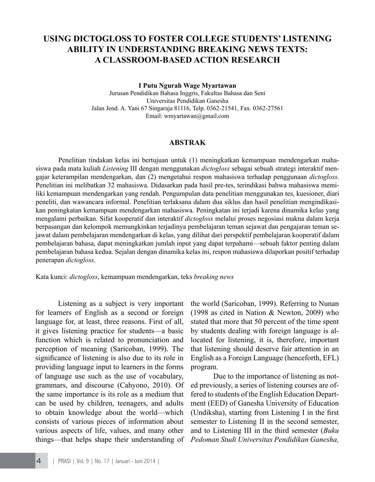# **USING DICTOGLOSS TO FOSTER COLLEGE STUDENTS' LISTENING ABILITY IN UNDERSTANDING BREAKING NEWS TEXTS: A CLASSROOM-BASED ACTION RESEARCH**

**I Putu Ngurah Wage Myartawan**

Jurusan Pendidikan Bahasa Inggris, Fakultas Bahasa dan Seni Universitas Pendidikan Ganesha Jalan Jend. A. Yani 67 Singaraja 81116, Telp. 0362-21541, Fax. 0362-27561 Email: wmyartawan@gmail.com

### **ABSTRAK**

Penelitian tindakan kelas ini bertujuan untuk (1) meningkatkan kemampuan mendengarkan mahasiswa pada mata kuliah *Listening* III dengan menggunakan *dictogloss* sebagai sebuah strategi interaktif mengajar keterampilan mendengarkan, dan (2) mengetahui respon mahasiswa terhadap penggunaan *dictogloss*. Penelitian ini melibatkan 32 mahasiswa. Didasarkan pada hasil pre-tes, terindikasi bahwa mahasiswa memiliki kemampuan mendengarkan yang rendah. Pengumpulan data penelitian menggunakan tes, kuesioner, diari peneliti, dan wawancara informal. Penelitian terlaksana dalam dua siklus dan hasil penelitian mengindikasikan peningkatan kemampuan mendengarkan mahasiswa. Peningkatan ini terjadi karena dinamika kelas yang mengalami perbaikan. Sifat kooperatif dan interaktif *dictogloss* melalui proses negosiasi makna dalam kerja berpasangan dan kelompok memungkinkan terjadinya pembelajaran teman sejawat dan pengajaran teman sejawat dalam pembelajaran mendengarkan di kelas, yang dilihat dari perspektif pembelajaran kooperatif dalam pembelajaran bahasa, dapat meningkatkan jumlah input yang dapat terpahami—sebuah faktor penting dalam pembelajaran bahasa kedua. Sejalan dengan dinamika kelas ini, respon mahasiswa dilaporkan positif terhadap penerapan *dictogloss*.

Kata kunci: *dictogloss*, kemampuan mendengarkan, teks *breaking news*

Listening as a subject is very important for learners of English as a second or foreign language for, at least, three reasons. First of all, it gives listening practice for students—a basic function which is related to pronunciation and perception of meaning (Saricoban, 1999). The significance of listening is also due to its role in providing language input to learners in the forms of language use such as the use of vocabulary, grammars, and discourse (Cahyono, 2010). Of the same importance is its role as a medium that can be used by children, teenagers, and adults to obtain knowledge about the world—which consists of various pieces of information about various aspects of life, values, and many other things—that helps shape their understanding of the world (Saricoban, 1999). Referring to Nunan (1998 as cited in Nation & Newton, 2009) who stated that more that 50 percent of the time spent by students dealing with foreign language is allocated for listening, it is, therefore, important that listening should deserve fair attention in an English as a Foreign Language (henceforth, EFL) program.

Due to the importance of listening as noted previously, a series of listening courses are offered to students of the English Education Department (EED) of Ganesha University of Education (Undiksha), starting from Listening I in the first semester to Listening II in the second semester, and to Listening III in the third semester (*Buku Pedoman Studi Universitas Pendidikan Ganesha,*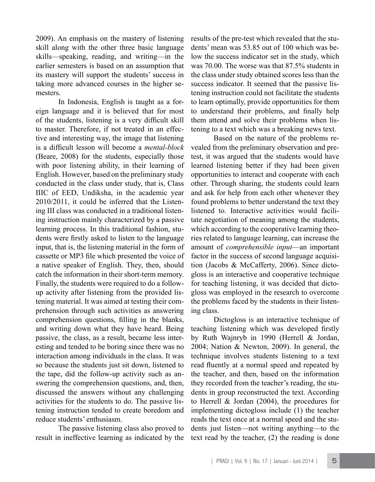2009). An emphasis on the mastery of listening skill along with the other three basic language skills—speaking, reading, and writing—in the earlier semesters is based on an assumption that its mastery will support the students' success in taking more advanced courses in the higher semesters.

In Indonesia, English is taught as a foreign language and it is believed that for most of the students, listening is a very difficult skill to master. Therefore, if not treated in an effective and interesting way, the image that listening is a difficult lesson will become a *mental-block* (Beare, 2008) for the students, especially those with poor listening ability, in their learning of English. However, based on the preliminary study conducted in the class under study, that is, Class IIIC of EED, Undiksha, in the academic year 2010/2011, it could be inferred that the Listening III class was conducted in a traditional listening instruction mainly characterized by a passive learning process. In this traditional fashion, students were firstly asked to listen to the language input, that is, the listening material in the form of cassette or MP3 file which presented the voice of a native speaker of English. They, then, should catch the information in their short-term memory. Finally, the students were required to do a followup activity after listening from the provided listening material. It was aimed at testing their comprehension through such activities as answering comprehension questions, filling in the blanks, and writing down what they have heard. Being passive, the class, as a result, became less interesting and tended to be boring since there was no interaction among individuals in the class. It was so because the students just sit down, listened to the tape, did the follow-up activity such as answering the comprehension questions, and, then, discussed the answers without any challenging activities for the students to do. The passive listening instruction tended to create boredom and reduce students' enthusiasm.

The passive listening class also proved to result in ineffective learning as indicated by the

results of the pre-test which revealed that the students' mean was 53.85 out of 100 which was below the success indicator set in the study, which was 70.00. The worse was that 87.5% students in the class under study obtained scores less than the success indicator. It seemed that the passive listening instruction could not facilitate the students to learn optimally, provide opportunities for them to understand their problems, and finally help them attend and solve their problems when listening to a text which was a breaking news text.

Based on the nature of the problems revealed from the preliminary observation and pretest, it was argued that the students would have learned listening better if they had been given opportunities to interact and cooperate with each other. Through sharing, the students could learn and ask for help from each other whenever they found problems to better understand the text they listened to. Interactive activities would facilitate negotiation of meaning among the students, which according to the cooperative learning theories related to language learning, can increase the amount of *comprehensible input*—an important factor in the success of second language acquisition (Jacobs & McCafferty, 2006). Since dictogloss is an interactive and cooperative technique for teaching listening, it was decided that dictogloss was employed in the research to overcome the problems faced by the students in their listening class.

Dictogloss is an interactive technique of teaching listening which was developed firstly by Ruth Wajnryb in 1990 (Herrell & Jordan, 2004; Nation & Newton, 2009). In general, the technique involves students listening to a text read fluently at a normal speed and repeated by the teacher, and then, based on the information they recorded from the teacher's reading, the students in group reconstructed the text. According to Herrell & Jordan (2004), the procedures for implementing dictogloss include (1) the teacher reads the text once at a normal speed and the students just listen—not writing anything—to the text read by the teacher, (2) the reading is done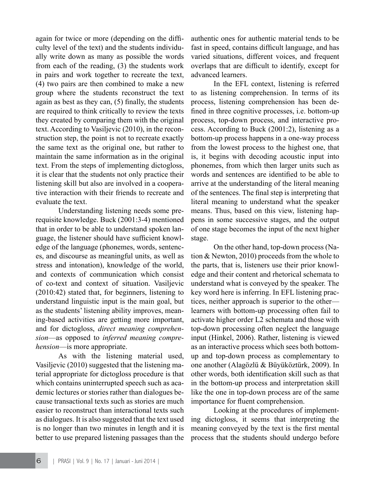again for twice or more (depending on the difficulty level of the text) and the students individually write down as many as possible the words from each of the reading, (3) the students work in pairs and work together to recreate the text, (4) two pairs are then combined to make a new group where the students reconstruct the text again as best as they can, (5) finally, the students are required to think critically to review the texts they created by comparing them with the original text. According to Vasiljevic (2010), in the reconstruction step, the point is not to recreate exactly the same text as the original one, but rather to maintain the same information as in the original text. From the steps of implementing dictogloss, it is clear that the students not only practice their listening skill but also are involved in a cooperative interaction with their friends to recreate and evaluate the text.

Understanding listening needs some prerequisite knowledge. Buck (2001:3-4) mentioned that in order to be able to understand spoken language, the listener should have sufficient knowledge of the language (phonemes, words, sentences, and discourse as meaningful units, as well as stress and intonation), knowledge of the world, and contexts of communication which consist of co-text and context of situation. Vasiljevic (2010:42) stated that, for beginners, listening to understand linguistic input is the main goal, but as the students' listening ability improves, meaning-based activities are getting more important, and for dictogloss, *direct meaning comprehension*—as opposed to *inferred meaning comprehension*—is more appropriate.

As with the listening material used, Vasiljevic (2010) suggested that the listening material appropriate for dictogloss procedure is that which contains uninterrupted speech such as academic lectures or stories rather than dialogues because transactional texts such as stories are much easier to reconstruct than interactional texts such as dialogues. It is also suggested that the text used is no longer than two minutes in length and it is better to use prepared listening passages than the authentic ones for authentic material tends to be fast in speed, contains difficult language, and has varied situations, different voices, and frequent overlaps that are difficult to identify, except for advanced learners.

In the EFL context, listening is referred to as listening comprehension. In terms of its process, listening comprehension has been defined in three cognitive processes, i.e. bottom-up process, top-down process, and interactive process. According to Buck (2001:2), listening as a bottom-up process happens in a one-way process from the lowest process to the highest one, that is, it begins with decoding acoustic input into phonemes, from which then larger units such as words and sentences are identified to be able to arrive at the understanding of the literal meaning of the sentences. The final step is interpreting that literal meaning to understand what the speaker means. Thus, based on this view, listening happens in some successive stages, and the output of one stage becomes the input of the next higher stage.

On the other hand, top-down process (Nation & Newton, 2010) proceeds from the whole to the parts, that is, listeners use their prior knowledge and their content and rhetorical schemata to understand what is conveyed by the speaker. The key word here is inferring. In EFL listening practices, neither approach is superior to the other learners with bottom-up processing often fail to activate higher order L2 schemata and those with top-down processing often neglect the language input (Hinkel, 2006). Rather, listening is viewed as an interactive process which sees both bottomup and top-down process as complementary to one another (Alagözlü & Büyüköztürk, 2009). In other words, both identification skill such as that in the bottom-up process and interpretation skill like the one in top-down process are of the same importance for fluent comprehension.

Looking at the procedures of implementing dictogloss, it seems that interpreting the meaning conveyed by the text is the first mental process that the students should undergo before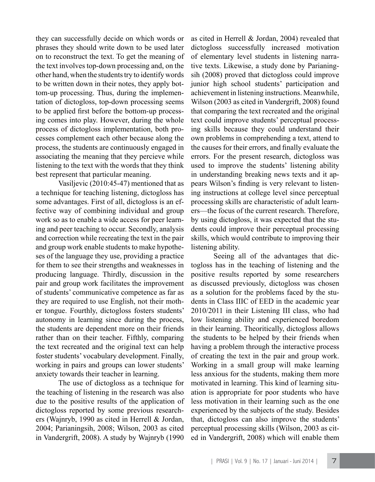they can successfully decide on which words or phrases they should write down to be used later on to reconstruct the text. To get the meaning of the text involves top-down processing and, on the other hand, when the students try to identify words to be written down in their notes, they apply bottom-up processing. Thus, during the implementation of dictogloss, top-down processing seems to be applied first before the bottom-up processing comes into play. However, during the whole process of dictogloss implementation, both processes complement each other because along the process, the students are continuously engaged in associating the meaning that they percieve while listening to the text with the words that they think best represent that particular meaning.

Vasiljevic (2010:45-47) mentioned that as a technique for teaching listening, dictogloss has some advantages. First of all, dictogloss is an effective way of combining individual and group work so as to enable a wide access for peer learning and peer teaching to occur. Secondly, analysis and correction while recreating the text in the pair and group work enable students to make hypotheses of the language they use, providing a practice for them to see their strengths and weaknesses in producing language. Thirdly, discussion in the pair and group work facilitates the improvement of students' communicative competence as far as they are required to use English, not their mother tongue. Fourthly, dictogloss fosters students' autonomy in learning since during the process, the students are dependent more on their friends rather than on their teacher. Fifthly, comparing the text recreated and the original text can help foster students' vocabulary development. Finally, working in pairs and groups can lower students' anxiety towards their teacher in learning.

The use of dictogloss as a technique for the teaching of listening in the research was also due to the positive results of the application of dictogloss reported by some previous researchers (Wajnryb, 1990 as cited in Herrell & Jordan, 2004; Parianingsih, 2008; Wilson, 2003 as cited in Vandergrift, 2008). A study by Wajnryb (1990

as cited in Herrell & Jordan, 2004) revealed that dictogloss successfully increased motivation of elementary level students in listening narrative texts. Likewise, a study done by Parianingsih (2008) proved that dictogloss could improve junior high school students' participation and achievement in listening instructions. Meanwhile, Wilson (2003 as cited in Vandergrift, 2008) found that comparing the text recreated and the original text could improve students' perceptual processing skills because they could understand their own problems in comprehending a text, attend to the causes for their errors, and finally evaluate the errors. For the present research, dictogloss was used to improve the students' listening ability in understanding breaking news texts and it appears Wilson's finding is very relevant to listening instructions at college level since perceptual processing skills are characteristic of adult learners—the focus of the current research. Therefore, by using dictogloss, it was expected that the students could improve their perceptual processing skills, which would contribute to improving their listening ability.

Seeing all of the advantages that dictogloss has in the teaching of listening and the positive results reported by some researchers as discussed previously, dictogloss was chosen as a solution for the problems faced by the students in Class IIIC of EED in the academic year 2010/2011 in their Listening III class, who had low listening ability and experienced boredom in their learning. Theoritically, dictogloss allows the students to be helped by their friends when having a problem through the interactive process of creating the text in the pair and group work. Working in a small group will make learning less anxious for the students, making them more motivated in learning. This kind of learning situation is appropriate for poor students who have less motivation in their learning such as the one experienced by the subjects of the study. Besides that, dictogloss can also improve the students' perceptual processing skills (Wilson, 2003 as cited in Vandergrift, 2008) which will enable them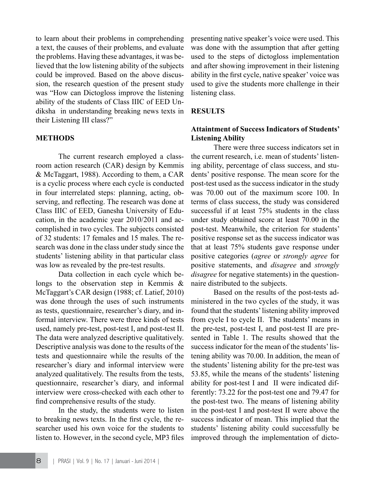to learn about their problems in comprehending a text, the causes of their problems, and evaluate the problems. Having these advantages, it was believed that the low listening ability of the subjects could be improved. Based on the above discussion, the research question of the present study was "How can Dictogloss improve the listening ability of the students of Class IIIC of EED Undiksha in understanding breaking news texts in their Listening III class?"

# **METHODS**

The current research employed a classroom action research (CAR) design by Kemmis & McTaggart, 1988). According to them, a CAR is a cyclic process where each cycle is conducted in four interrelated steps: planning, acting, observing, and reflecting. The research was done at Class IIIC of EED, Ganesha University of Education, in the academic year 2010/2011 and accomplished in two cycles. The subjects consisted of 32 students: 17 females and 15 males. The research was done in the class under study since the students' listening ability in that particular class was low as revealed by the pre-test results.

Data collection in each cycle which belongs to the observation step in Kemmis & McTaggart's CAR design (1988; cf. Latief, 2010) was done through the uses of such instruments as tests, questionnaire, researcher's diary, and informal interview. There were three kinds of tests used, namely pre-test, post-test I, and post-test II. The data were analyzed descriptive qualitatively. Descriptive analysis was done to the results of the tests and questionnaire while the results of the researcher's diary and informal interview were analyzed qualitatively. The results from the tests, questionnaire, researcher's diary, and informal interview were cross-checked with each other to find comprehensive results of the study.

In the study, the students were to listen to breaking news texts. In the first cycle, the researcher used his own voice for the students to listen to. However, in the second cycle, MP3 files presenting native speaker's voice were used. This was done with the assumption that after getting used to the steps of dictogloss implementation and after showing improvement in their listening ability in the first cycle, native speaker' voice was used to give the students more challenge in their listening class.

# **RESULTS**

# **Attaintment of Success Indicators of Students' Listening Ability**

There were three success indicators set in the current research *i.e.* mean of students' listening ability, percentage of class success, and students' positive response. The mean score for the post-test used as the success indicator in the study was 70.00 out of the maximum score 100. In terms of class success, the study was considered successful if at least 75% students in the class under study obtained score at least 70.00 in the post-test. Meanwhile, the criterion for students' positive response set as the success indicator was that at least 75% students gave response under positive categories (*agree* or *strongly agree* for positive statements, and *disagree* and *strongly disagree* for negative statements) in the questionnaire distributed to the subjects.

Based on the results of the post-tests administered in the two cycles of the study, it was found that the students' listening ability improved from cycle I to cycle II. The students' means in the pre-test, post-test I, and post-test II are presented in Table 1. The results showed that the success indicator for the mean of the students' listening ability was 70.00. In addition, the mean of the students' listening ability for the pre-test was 53.85, while the means of the students' listening ability for post-test I and II were indicated differently: 73.22 for the post-test one and 79.47 for the post-test two. The means of listening ability in the post-test I and post-test II were above the success indicator of mean. This implied that the students' listening ability could successfully be improved through the implementation of dicto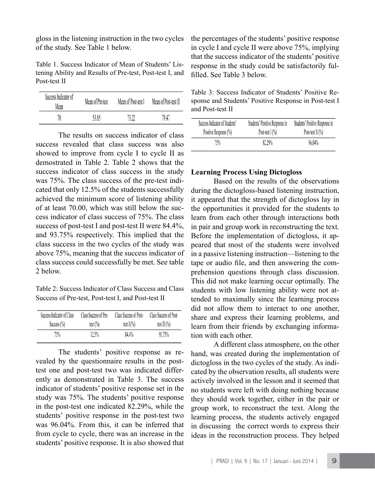gloss in the listening instruction in the two cycles of the study. See Table 1 below.

Table 1. Success Indicator of Mean of Students' Listening Ability and Results of Pre-test, Post-test I, and Post-test II

| Success Indicator of<br>Mean | Mean of Pre-test | Mean of Post-test I | Mean of Post-test II |
|------------------------------|------------------|---------------------|----------------------|
| 70                           | 53.85            | 72 77               | 79.47                |

The results on success indicator of class success revealed that class success was also showed to improve from cycle I to cycle II as demostrated in Table 2. Table 2 shows that the success indicator of class success in the study was 75%. The class success of the pre-test indicated that only 12.5% of the students successfully achieved the minimum score of listening ability of at least 70.00, which was still below the success indicator of class success of 75%. The class success of post-test I and post-test II were 84.4%, and 93.75% respectively. This implied that the class success in the two cycles of the study was above 75%, meaning that the success indicator of class success could successfully be met. See table 2 below.

Table 2: Success Indicator of Class Success and Class Success of Pre-test, Post-test I, and Post-test II

| Success Indicator of Class | Class Success of Pre- | Class Success of Post- | Class Success of Post- |
|----------------------------|-----------------------|------------------------|------------------------|
| Success $(\%)$             | test $(\%)$           | test $I(\%)$           | test $\prod$ (%)       |
| 75%                        | 12.5%                 | 84.4%                  | 93.75%                 |

The students' positive response as revealed by the questionnaire results in the posttest one and post-test two was indicated differently as demonstrated in Table 3. The success indicator of students' positive response set in the study was 75%. The students' positive response in the post-test one indicated 82.29%, while the students' positive response in the post-test two was 96.04%. From this, it can be inferred that from cycle to cycle, there was an increase in the students' positive response. It is also showed that the percentages of the students' positive response in cycle I and cycle II were above 75%, implying that the success indicator of the students' positive response in the study could be satisfactorily fulfilled. See Table 3 below.

Table 3: Success Indicator of Students' Positive Response and Students' Positive Response in Post-test I and Post-test II

| Success Indicator of Students' | Students' Positive Response in | Students' Positive Response in |
|--------------------------------|--------------------------------|--------------------------------|
| Positive Response (%)          | Post-test $\Gamma(\%)$         | Post-test $\prod$ (%)          |
| 75%                            | 82.29%                         | 96.04%                         |

### **Learning Process Using Dictogloss**

Based on the results of the observations during the dictogloss-based listening instruction, it appeared that the strength of dictogloss lay in the opportunities it provided for the students to learn from each other through interactions both in pair and group work in reconstructing the text. Before the implementation of dictogloss, it appeared that most of the students were involved in a passive listening instruction—listening to the tape or audio file, and then answering the comprehension questions through class discussion. This did not make learning occur optimally. The students with low listening ability were not attended to maximally since the learning process did not allow them to interact to one another, share and express their learning problems, and learn from their friends by exchanging information with each other.

A different class atmosphere, on the other hand, was created during the implementation of dictogloss in the two cycles of the study. As indicated by the observation results, all students were actively involved in the lesson and it seemed that no students were left with doing nothing because they should work together, either in the pair or group work, to reconstruct the text. Along the learning process, the students actively engaged in discussing the correct words to express their ideas in the reconstruction process. They helped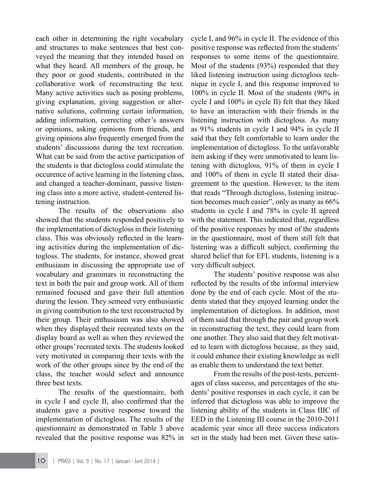each other in determining the right vocabulary and structures to make sentences that best conveyed the meaning that they intended based on what they heard. All members of the group, be they poor or good students, contributed in the collaborative work of reconstructing the text. Many active activities such as posing problems, giving explanation, giving suggestion or alternative solutions, cofirming certain information, adding information, correcting other's answers or opinions, asking opinions from friends, and giving opinions also frequently emerged from the students' discussions during the text recreation. What can be said from the active participation of the students is that dictogloss could stimulate the occurence of active learning in the listening class, and changed a teacher-dominant, passive listening class into a more active, student-centered listening instruction.

The results of the observations also showed that the students responded positively to the implementation of dictogloss in their listening class. This was obviously reflected in the learning activities during the implementation of dictogloss. The students, for instance, showed great enthusiasm in discussing the appropriate use of vocabulary and grammars in reconstructing the text in both the pair and group work. All of them remained focused and gave their full attention during the lesson. They semeed very enthusiastic in giving contribution to the text reconstructed by their group. Their enthusiasm was also showed when they displayed their recreated texts on the display board as well as when they reviewed the other groups' recreated texts. The students looked very motivated in comparing their texts with the work of the other groups since by the end of the class, the teacher would select and announce three best texts.

The results of the questionnaire, both in cycle I and cycle II, also confirmed that the students gave a positive response toward the implementation of dictogloss. The results of the questionnaire as demonstrated in Table 3 above revealed that the positive response was 82% in

cycle I, and 96% in cycle II. The evidence of this positive response was reflected from the students' responses to some items of the questionnaire. Most of the students (93%) responded that they liked listening instruction using dictogloss technique in cycle I, and this response improved to 100% in cycle II. Most of the students (90% in cycle I and 100% in cycle II) felt that they liked to have an interaction with their friends in the listening instruction with dictogloss. As many as 91% students in cycle I and 94% in cycle II said that they felt comfortable to learn under the implementation of dictogloss. To the unfavorable item asking if they were unmotivated to learn listening with dictogloss, 91% of them in cycle I and 100% of them in cycle II stated their disagreement to the question. However, to the item that reads "Through dictogloss, listening instruction becomes much easier", only as many as 66% students in cycle I and 78% in cycle II agreed with the statement. This indicated that, regardless of the positive responses by most of the students in the questionnaire, most of them still felt that listening was a difficult subject, confirming the shared belief that for EFL students, listening is a very difficult subject.

The students' positive response was also reflected by the results of the informal interview done by the end of each cycle. Most of the students stated that they enjoyed learning under the implementation of dictogloss. In addition, most of them said that through the pair and group work in reconstructing the text, they could learn from one another. They also said that they felt motivated to learn with dictogloss because, as they said, it could enhance their existing knowledge as well as enable them to understand the text better.

From the results of the post-tests, percentages of class success, and percentages of the students' positive responses in each cycle, it can be inferred that dictogloss was able to improve the listening ability of the students in Class IIIC of EED in the Listening III course in the 2010-2011 academic year since all three success indicators set in the study had been met. Given these satis-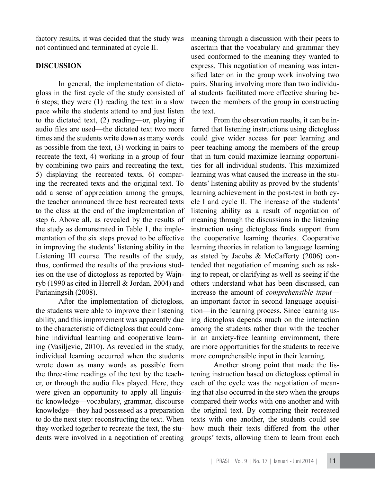factory results, it was decided that the study was not continued and terminated at cycle II.

### **DISCUSSION**

In general, the implementation of dictogloss in the first cycle of the study consisted of 6 steps; they were (1) reading the text in a slow pace while the students attend to and just listen to the dictated text, (2) reading—or, playing if audio files are used—the dictated text two more times and the students write down as many words as possible from the text, (3) working in pairs to recreate the text, 4) working in a group of four by combining two pairs and recreating the text, 5) displaying the recreated texts, 6) comparing the recreated texts and the original text. To add a sense of appreciation among the groups, the teacher announced three best recreated texts to the class at the end of the implementation of step 6. Above all, as revealed by the results of the study as demonstrated in Table 1, the implementation of the six steps proved to be effective in improving the students' listening ability in the Listening III course. The results of the study, thus, confirmed the results of the previous studies on the use of dictogloss as reported by Wajnryb (1990 as cited in Herrell & Jordan, 2004) and Parianingsih (2008).

After the implementation of dictogloss, the students were able to improve their listening ability, and this improvement was apparently due to the characteristic of dictogloss that could combine individual learning and cooperative learning (Vasiljevic, 2010). As revealed in the study, individual learning occurred when the students wrote down as many words as possible from the three-time readings of the text by the teacher, or through the audio files played. Here, they were given an opportunity to apply all linguistic knowledge—vocabulary, grammar, discourse knowledge—they had possessed as a preparation to do the next step: reconstructing the text. When they worked together to recreate the text, the students were involved in a negotiation of creating

meaning through a discussion with their peers to ascertain that the vocabulary and grammar they used conformed to the meaning they wanted to express. This negotiation of meaning was intensified later on in the group work involving two pairs. Sharing involving more than two individual students facilitated more effective sharing between the members of the group in constructing the text.

From the observation results, it can be inferred that listening instructions using dictogloss could give wider access for peer learning and peer teaching among the members of the group that in turn could maximize learning opportunities for all individual students. This maximized learning was what caused the increase in the students' listening ability as proved by the students' learning achievement in the post-test in both cycle I and cycle II. The increase of the students' listening ability as a result of negotiation of meaning through the discussions in the listening instruction using dictogloss finds support from the cooperative learning theories. Cooperative learning theories in relation to language learning as stated by Jacobs & McCafferty (2006) contended that negotiation of meaning such as asking to repeat, or clarifying as well as seeing if the others understand what has been discussed, can increase the amount of *comprehensible input* an important factor in second language acquisition—in the learning process. Since learning using dictogloss depends much on the interaction among the students rather than with the teacher in an anxiety-free learning environment, there are more opportunities for the students to receive more comprehensible input in their learning.

Another strong point that made the listening instruction based on dictogloss optimal in each of the cycle was the negotiation of meaning that also occurred in the step when the groups compared their works with one another and with the original text. By comparing their recreated texts with one another, the students could see how much their texts differed from the other groups' texts, allowing them to learn from each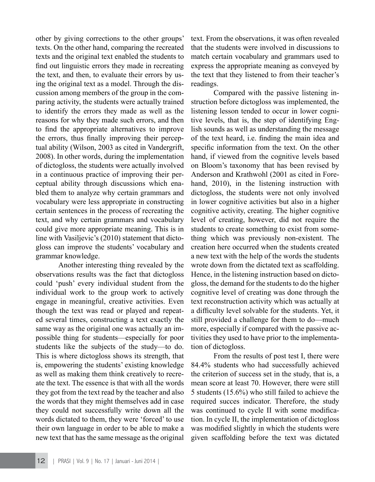other by giving corrections to the other groups' texts. On the other hand, comparing the recreated texts and the original text enabled the students to find out linguistic errors they made in recreating the text, and then, to evaluate their errors by using the original text as a model. Through the discussion among members of the group in the comparing activity, the students were actually trained to identify the errors they made as well as the reasons for why they made such errors, and then to find the appropriate alternatives to improve the errors, thus finally improving their perceptual ability (Wilson, 2003 as cited in Vandergrift, 2008). In other words, during the implementation of dictogloss, the students were actually involved in a continuous practice of improving their perceptual ability through discussions which enabled them to analyze why certain grammars and vocabulary were less appropriate in constructing certain sentences in the process of recreating the text, and why certain grammars and vocabulary could give more appropriate meaning. This is in line with Vasiljevic's (2010) statement that dictogloss can improve the students' vocabulary and grammar knowledge.

Another interesting thing revealed by the observations results was the fact that dictogloss could 'push' every individual student from the individual work to the group work to actively engage in meaningful, creative activities. Even though the text was read or played and repeated several times, constructing a text exactly the same way as the original one was actually an impossible thing for students—especially for poor students like the subjects of the study—to do. This is where dictogloss shows its strength, that is, empowering the students' existing knowledge as well as making them think creatively to recreate the text. The essence is that with all the words they got from the text read by the teacher and also the words that they might themselves add in case they could not successfully write down all the words dictated to them, they were 'forced' to use their own language in order to be able to make a new text that has the same message as the original

text. From the observations, it was often revealed that the students were involved in discussions to match certain vocabulary and grammars used to express the appropriate meaning as conveyed by the text that they listened to from their teacher's readings.

Compared with the passive listening instruction before dictogloss was implemented, the listening lesson tended to occur in lower cognitive levels, that is, the step of identifying English sounds as well as understanding the message of the text heard, i.e. finding the main idea and specific information from the text. On the other hand, if viewed from the cognitive levels based on Bloom's taxonomy that has been revised by Anderson and Krathwohl (2001 as cited in Forehand, 2010), in the listening instruction with dictogloss, the students were not only involved in lower cognitive activities but also in a higher cognitive activity, creating. The higher cognitive level of creating, however, did not require the students to create something to exist from something which was previously non-existent. The creation here occurred when the students created a new text with the help of the words the students wrote down from the dictated text as scaffolding. Hence, in the listening instruction based on dictogloss, the demand for the students to do the higher cognitive level of creating was done through the text reconstruction activity which was actually at a difficulty level solvable for the students. Yet, it still provided a challenge for them to do—much more, especially if compared with the passive activities they used to have prior to the implementation of dictogloss.

From the results of post test I, there were 84.4% students who had successfully achieved the criterion of success set in the study, that is, a mean score at least 70. However, there were still 5 students (15.6%) who still failed to achieve the required succes indicator. Therefore, the study was continued to cycle II with some modification. In cycle II, the implementation of dictogloss was modified slightly in which the students were given scaffolding before the text was dictated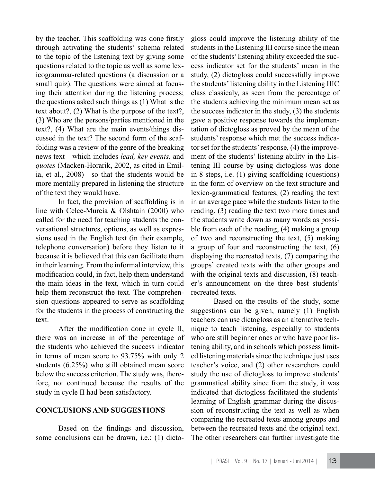by the teacher. This scaffolding was done firstly through activating the students' schema related to the topic of the listening text by giving some questions related to the topic as well as some lexicogrammar-related questions (a discussion or a small quiz). The questions were aimed at focusing their attention during the listening process; the questions asked such things as (1) What is the text about?, (2) What is the purpose of the text?, (3) Who are the persons/parties mentioned in the text?, (4) What are the main events/things discussed in the text? The second form of the scaffolding was a review of the genre of the breaking news text—which includes *lead, key events,* and *quotes* (Macken-Horarik, 2002, as cited in Emilia, et al., 2008)—so that the students would be more mentally prepared in listening the structure of the text they would have.

In fact, the provision of scaffolding is in line with Celce-Murcia & Olshtain (2000) who called for the need for teaching students the conversational structures, options, as well as expressions used in the English text (in their example, telephone conversation) before they listen to it because it is believed that this can facilitate them in their learning. From the informal interview, this modification could, in fact, help them understand the main ideas in the text, which in turn could help them reconstruct the text. The comprehension questions appeared to serve as scaffolding for the students in the process of constructing the text.

After the modification done in cycle II, there was an increase in of the percentage of the students who achieved the success indicator in terms of mean score to 93.75% with only 2 students (6.25%) who still obtained mean score below the success criterion. The study was, therefore, not continued because the results of the study in cycle II had been satisfactory.

# **CONCLUSIONS AND SUGGESTIONS**

Based on the findings and discussion, some conclusions can be drawn, i.e.: (1) dicto-

gloss could improve the listening ability of the students in the Listening III course since the mean of the students' listening ability exceeded the success indicator set for the students' mean in the study, (2) dictogloss could successfully improve the students' listening ability in the Listening IIIC class classicaly, as seen from the percentage of the students achieving the minimum mean set as the success indicator in the study, (3) the students gave a positive response towards the implementation of dictogloss as proved by the mean of the students' response which met the success indicator set for the students' response, (4) the improvement of the students' listening ability in the Listening III course by using dictogloss was done in 8 steps, i.e. (1) giving scaffolding (questions) in the form of overview on the text structure and lexico-grammatical features, (2) reading the text in an average pace while the students listen to the reading, (3) reading the text two more times and the students write down as many words as possible from each of the reading, (4) making a group of two and reconstructing the text, (5) making a group of four and reconstructing the text, (6) displaying the recreated texts, (7) comparing the groups' created texts with the other groups and with the original texts and discussion,  $(8)$  teacher's announcement on the three best students' recreated texts.

Based on the results of the study, some suggestions can be given, namely (1) English teachers can use dictogloss as an alternative technique to teach listening, especially to students who are still beginner ones or who have poor listening ability, and in schools which possess limited listening materials since the technique just uses teacher's voice, and (2) other researchers could study the use of dictogloss to improve students' grammatical ability since from the study, it was indicated that dictogloss facilitated the students' learning of English grammar during the discussion of reconstructing the text as well as when comparing the recreated texts among groups and between the recreated texts and the original text. The other researchers can further investigate the